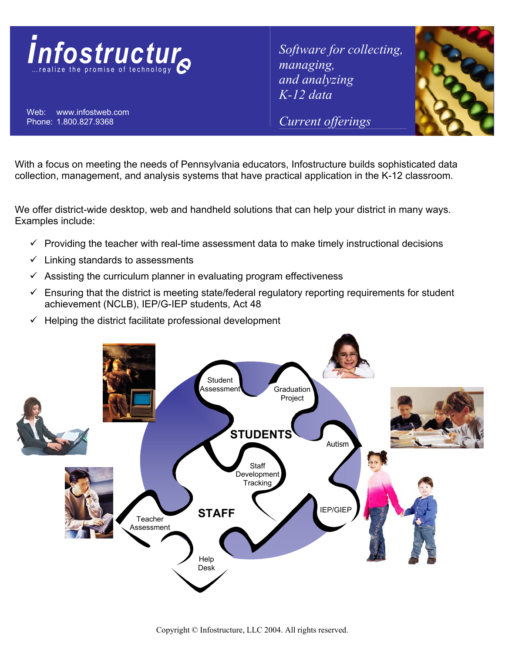

Web: www.infostweb.com Phone: 1.800.827.9368

*Software for collecting, managing, and analyzing K-12 data* 

*Current offerings*



With a focus on meeting the needs of Pennsylvania educators, Infostructure builds sophisticated data collection, management, and analysis systems that have practical application in the K-12 classroom.

We offer district-wide desktop, web and handheld solutions that can help your district in many ways. Examples include:

- $\checkmark$  Providing the teacher with real-time assessment data to make timely instructional decisions
- $\checkmark$  Linking standards to assessments
- $\checkmark$  Assisting the curriculum planner in evaluating program effectiveness
- $\checkmark$  Ensuring that the district is meeting state/federal regulatory reporting requirements for student achievement (NCLB), IEP/G-IEP students, Act 48
- $\checkmark$  Helping the district facilitate professional development

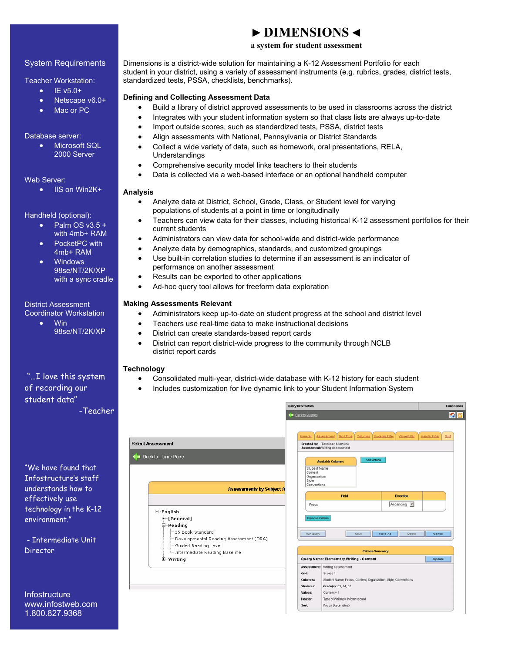## System Requirements

Teacher Workstation:

- $\bullet$  IE v5.0+
- Netscape v6.0+
- Mac or PC

#### Database server:

**Microsoft SQL** 2000 Server

#### Web Server:

• IIS on Win2K+

#### Handheld (optional):

- Palm  $OS V3.5 +$ with 4mb+ RAM
- PocketPC with 4mb+ RAM
- Windows 98se/NT/2K/XP with a sync cradle

#### District Assessment Coordinator Workstation

• Win 98se/NT/2K/XP

## "…I love this system of recording our student data" -Teacher

"We have found that Infostructure's staff understands how to effectively use technology in the K-12 environment."

 - Intermediate Unit Director

**Infostructure** www.infostweb.com 1.800.827.9368

## **► DIMENSIONS ◄**

## **a system for student assessment**

Dimensions is a district-wide solution for maintaining a K-12 Assessment Portfolio for each student in your district, using a variety of assessment instruments (e.g. rubrics, grades, district tests, standardized tests, PSSA, checklists, benchmarks).

#### **Defining and Collecting Assessment Data**

- Build a library of district approved assessments to be used in classrooms across the district
	- Integrates with your student information system so that class lists are always up-to-date
- Import outside scores, such as standardized tests, PSSA, district tests
- Align assessments with National, Pennsylvania or District Standards
- Collect a wide variety of data, such as homework, oral presentations, RELA, Understandings
- Comprehensive security model links teachers to their students
- Data is collected via a web-based interface or an optional handheld computer

#### **Analysis**

- Analyze data at District, School, Grade, Class, or Student level for varying populations of students at a point in time or longitudinally
- Teachers can view data for their classes, including historical K-12 assessment portfolios for their current students
- Administrators can view data for school-wide and district-wide performance
- Analyze data by demographics, standards, and customized groupings
- Use built-in correlation studies to determine if an assessment is an indicator of performance on another assessment
- Results can be exported to other applications
- Ad-hoc query tool allows for freeform data exploration

#### **Making Assessments Relevant**

- Administrators keep up-to-date on student progress at the school and district level
- Teachers use real-time data to make instructional decisions
- District can create standards-based report cards
- District can report district-wide progress to the community through NCLB district report cards

#### **Technology**

- Consolidated multi-year, district-wide database with K-12 history for each student
	- Includes customization for live dynamic link to your Student Information System

|                                                                                 | <b>Query Information</b>                 |                                                                                                                                      |                                                                 |                                                                              |           |                         |                  | <b>Dimensions</b> |               |                |
|---------------------------------------------------------------------------------|------------------------------------------|--------------------------------------------------------------------------------------------------------------------------------------|-----------------------------------------------------------------|------------------------------------------------------------------------------|-----------|-------------------------|------------------|-------------------|---------------|----------------|
|                                                                                 | <b>C</b> Back to Queries                 |                                                                                                                                      |                                                                 |                                                                              |           |                         |                  | 60                |               |                |
| <b>Select Assessment</b>                                                        |                                          | General                                                                                                                              |                                                                 | Assessment<br>Created by: TestUser, NumOne<br>Assessment: Writing Assessment | Grid Type | Columns Students Filter | Value Filter     |                   | Header Filter | S <sub>0</sub> |
| Back to Home Page<br>œ                                                          |                                          |                                                                                                                                      |                                                                 | <b>Available Columns</b>                                                     |           | Add Criteria            |                  |                   |               |                |
| <b>Assessments by Subject A</b>                                                 |                                          |                                                                                                                                      | Student Name<br>Content<br>Organization<br>Style<br>Conventions |                                                                              |           |                         |                  |                   |               |                |
|                                                                                 |                                          |                                                                                                                                      |                                                                 |                                                                              | Field     |                         | <b>Direction</b> |                   |               |                |
|                                                                                 |                                          |                                                                                                                                      | Focus                                                           |                                                                              |           |                         | Ascending v      |                   |               |                |
| ⊟~English<br><b>E-[General]</b>                                                 |                                          |                                                                                                                                      | Remove Criteria                                                 |                                                                              |           |                         |                  |                   |               |                |
| <b>⊟</b> Reading<br>~25 Book Standard<br>Developmental Reading Assessment (DRA) |                                          |                                                                                                                                      | Run Query                                                       |                                                                              |           | Save                    | Save As          | Delete            | Cancel        |                |
| -Guided Reading Level<br>Intermediate Reading Baseline                          | <b>Criteria Summary</b>                  |                                                                                                                                      |                                                                 |                                                                              |           |                         |                  |                   |               |                |
| 由 Writing                                                                       | Query Name: Elementary Writing - Content |                                                                                                                                      |                                                                 |                                                                              |           |                         |                  | Update            |               |                |
|                                                                                 |                                          |                                                                                                                                      |                                                                 | Assessment: Writing Assessment                                               |           |                         |                  |                   |               |                |
|                                                                                 |                                          | Grid:<br>Scores 1<br>Columns:<br>Student Name, Focus, Content, Organization, Style, Conventions<br>Students:<br>Grade(s): 03, 04, 05 |                                                                 |                                                                              |           |                         |                  |                   |               |                |
|                                                                                 |                                          |                                                                                                                                      |                                                                 |                                                                              |           |                         |                  |                   |               |                |
|                                                                                 |                                          | Values:                                                                                                                              |                                                                 | $Content = 1$                                                                |           |                         |                  |                   |               |                |
|                                                                                 |                                          | Header:                                                                                                                              |                                                                 | Type of Writing = Informational                                              |           |                         |                  |                   |               |                |
|                                                                                 |                                          | Sort:                                                                                                                                |                                                                 | Focus (Ascending)                                                            |           |                         |                  |                   |               |                |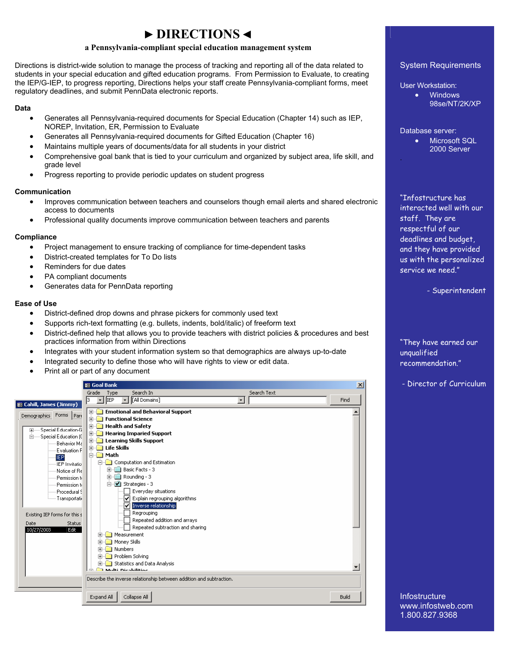## **► DIRECTIONS ◄**

#### **a Pennsylvania-compliant special education management system**

Directions is district-wide solution to manage the process of tracking and reporting all of the data related to students in your special education and gifted education programs. From Permission to Evaluate, to creating the IEP/G-IEP, to progress reporting, Directions helps your staff create Pennsylvania-compliant forms, meet regulatory deadlines, and submit PennData electronic reports.

#### **Data**

- Generates all Pennsylvania-required documents for Special Education (Chapter 14) such as IEP, NOREP, Invitation, ER, Permission to Evaluate
- Generates all Pennsylvania-required documents for Gifted Education (Chapter 16)
- Maintains multiple years of documents/data for all students in your district
- Comprehensive goal bank that is tied to your curriculum and organized by subject area, life skill, and grade level
- Progress reporting to provide periodic updates on student progress

#### **Communication**

- Improves communication between teachers and counselors though email alerts and shared electronic access to documents
- Professional quality documents improve communication between teachers and parents

#### **Compliance**

- Project management to ensure tracking of compliance for time-dependent tasks
- District-created templates for To Do lists
- Reminders for due dates
- PA compliant documents
- Generates data for PennData reporting

#### **Ease of Use**

- District-defined drop downs and phrase pickers for commonly used text
- Supports rich-text formatting (e.g. bullets, indents, bold/italic) of freeform text
- District-defined help that allows you to provide teachers with district policies & procedures and best practices information from within Directions
- Integrates with your student information system so that demographics are always up-to-date
- Integrated security to define those who will have rights to view or edit data.
- Print all or part of any document



#### System Requirements

User Workstation:

• Windows

98se/NT/2K/XP

Database server:

.

• Microsoft SQL 2000 Server

"Infostructure has interacted well with our staff. They are respectful of our deadlines and budget, and they have provided us with the personalized service we need."

- Superintendent

"They have earned our unqualified recommendation."

- Director of Curriculum

**Infostructure** www.infostweb.com 1.800.827.9368